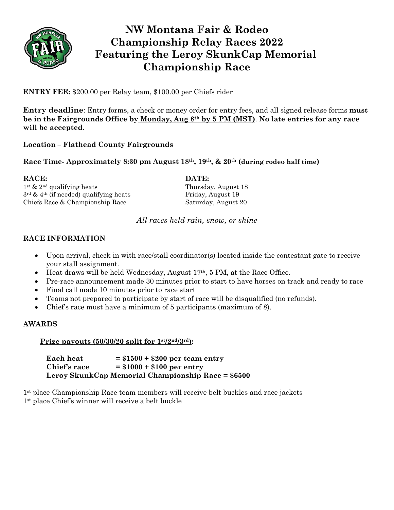

# **NW Montana Fair & Rodeo Championship Relay Races 2022 Featuring the Leroy SkunkCap Memorial Championship Race**

**ENTRY FEE:** \$200.00 per Relay team, \$100.00 per Chiefs rider

**Entry deadline**: Entry forms, a check or money order for entry fees, and all signed release forms **must be in the Fairgrounds Office by Monday, Aug 8th by 5 PM (MST)**. **No late entries for any race will be accepted.**

## **Location – Flathead County Fairgrounds**

### **Race Time- Approximately 8:30 pm August 18th, 19th, & 20th (during rodeo half time)**

**RACE: DATE:** 1st & 2nd qualifying heats Thursday, August 18  $3<sup>rd</sup>$  & 4<sup>th</sup> (if needed) qualifying heats Friday, August 19

Chiefs Race & Championship Race Saturday, August 20

*All races held rain, snow, or shine*

### **RACE INFORMATION**

- Upon arrival, check in with race/stall coordinator(s) located inside the contestant gate to receive your stall assignment.
- Heat draws will be held Wednesday, August  $17<sup>th</sup>$ , 5 PM, at the Race Office.
- Pre-race announcement made 30 minutes prior to start to have horses on track and ready to race
- Final call made 10 minutes prior to race start
- Teams not prepared to participate by start of race will be disqualified (no refunds).
- Chief's race must have a minimum of 5 participants (maximum of 8).

#### **AWARDS**

#### **Prize payouts (50/30/20 split for**  $1$ **<sup>st</sup>/2<sup>nd</sup>/3<sup>***rd***</sup>):**

**Each heat = \$1500 + \$200 per team entry Chief's race = \$1000 + \$100 per entry Leroy SkunkCap Memorial Championship Race = \$6500**

1st place Championship Race team members will receive belt buckles and race jackets 1st place Chief's winner will receive a belt buckle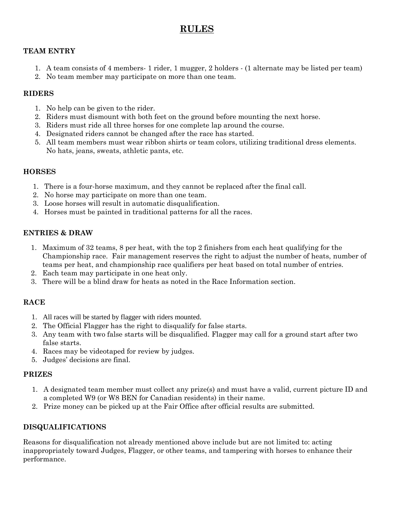# **RULES**

#### **TEAM ENTRY**

- 1. A team consists of 4 members- 1 rider, 1 mugger, 2 holders (1 alternate may be listed per team)
- 2. No team member may participate on more than one team.

### **RIDERS**

- 1. No help can be given to the rider.
- 2. Riders must dismount with both feet on the ground before mounting the next horse.
- 3. Riders must ride all three horses for one complete lap around the course.
- 4. Designated riders cannot be changed after the race has started.
- 5. All team members must wear ribbon shirts or team colors, utilizing traditional dress elements. No hats, jeans, sweats, athletic pants, etc.

### **HORSES**

- 1. There is a four-horse maximum, and they cannot be replaced after the final call.
- 2. No horse may participate on more than one team.
- 3. Loose horses will result in automatic disqualification.
- 4. Horses must be painted in traditional patterns for all the races.

### **ENTRIES & DRAW**

- 1. Maximum of 32 teams, 8 per heat, with the top 2 finishers from each heat qualifying for the Championship race. Fair management reserves the right to adjust the number of heats, number of teams per heat, and championship race qualifiers per heat based on total number of entries.
- 2. Each team may participate in one heat only.
- 3. There will be a blind draw for heats as noted in the Race Information section.

### **RACE**

- 1. All races will be started by flagger with riders mounted.
- 2. The Official Flagger has the right to disqualify for false starts.
- 3. Any team with two false starts will be disqualified. Flagger may call for a ground start after two false starts.
- 4. Races may be videotaped for review by judges.
- 5. Judges' decisions are final.

#### **PRIZES**

- 1. A designated team member must collect any prize(s) and must have a valid, current picture ID and a completed W9 (or W8 BEN for Canadian residents) in their name.
- 2. Prize money can be picked up at the Fair Office after official results are submitted.

### **DISQUALIFICATIONS**

Reasons for disqualification not already mentioned above include but are not limited to: acting inappropriately toward Judges, Flagger, or other teams, and tampering with horses to enhance their performance.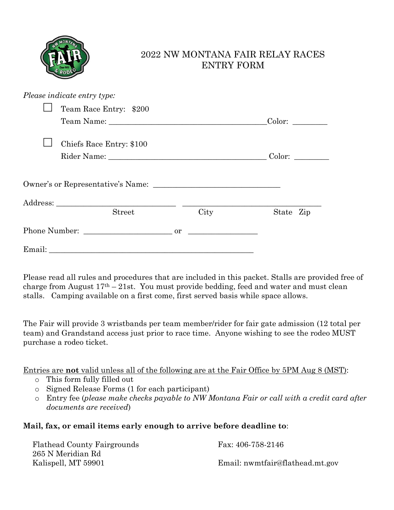

# 2022 NW MONTANA FAIR RELAY RACES ENTRY FORM

| Please indicate entry type:       |      |           |
|-----------------------------------|------|-----------|
| Team Race Entry: \$200            |      |           |
|                                   |      |           |
| Chiefs Race Entry: \$100          |      |           |
|                                   |      | Color:    |
| Owner's or Representative's Name: |      |           |
|                                   |      |           |
| Street                            | City | State Zip |
|                                   |      |           |
|                                   |      |           |

Please read all rules and procedures that are included in this packet. Stalls are provided free of charge from August  $17<sup>th</sup> - 21$ st. You must provide bedding, feed and water and must clean stalls. Camping available on a first come, first served basis while space allows.

The Fair will provide 3 wristbands per team member/rider for fair gate admission (12 total per team) and Grandstand access just prior to race time. Anyone wishing to see the rodeo MUST purchase a rodeo ticket.

Entries are **not** valid unless all of the following are at the Fair Office by 5PM Aug 8 (MST):

- o This form fully filled out
- o Signed Release Forms (1 for each participant)
- o Entry fee (*please make checks payable to NW Montana Fair or call with a credit card after documents are received*)

## **Mail, fax, or email items early enough to arrive before deadline to**:

| <b>Flathead County Fairgrounds</b> | Fax: 406-758-2146               |
|------------------------------------|---------------------------------|
| 265 N Meridian Rd                  |                                 |
| Kalispell, MT 59901                | Email: nwmtfair@flathead.mt.gov |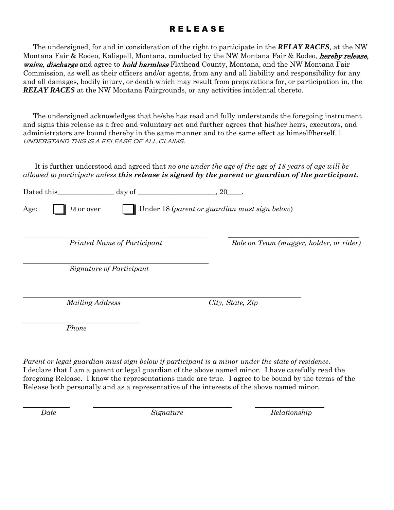## **RELEASE**

 The undersigned, for and in consideration of the right to participate in the *RELAY RACES*, at the NW Montana Fair & Rodeo, Kalispell, Montana, conducted by the NW Montana Fair & Rodeo, *hereby release*, waive, discharge and agree to hold harmless Flathead County, Montana, and the NW Montana Fair Commission, as well as their officers and/or agents, from any and all liability and responsibility for any and all damages, bodily injury, or death which may result from preparations for, or participation in, the *RELAY RACES* at the NW Montana Fairgrounds, or any activities incidental thereto.

 The undersigned acknowledges that he/she has read and fully understands the foregoing instrument and signs this release as a free and voluntary act and further agrees that his/her heirs, executors, and administrators are bound thereby in the same manner and to the same effect as himself/herself. I understand this is a release of all claims.

It is further understood and agreed that *no one under the age of the age of 18 years of age will be allowed to participate unless this release is signed by the parent or guardian of the participant.*

| Dated this | day of $\overline{\phantom{a}}$ | 20                                            |
|------------|---------------------------------|-----------------------------------------------|
| Age:       | $18$ or over                    | Under 18 (parent or guardian must sign below) |
|            |                                 |                                               |
|            | Printed Name of Participant     | Role on Team (mugger, holder, or rider)       |
|            | Signature of Participant        |                                               |
|            | Mailing Address                 | City, State, Zip                              |
|            | Phone                           |                                               |

*Parent or legal guardian must sign below if participant is a minor under the state of residence.* I declare that I am a parent or legal guardian of the above named minor. I have carefully read the foregoing Release. I know the representations made are true. I agree to be bound by the terms of the Release both personally and as a representative of the interests of the above named minor.

*Date* Signature Signature Relationship